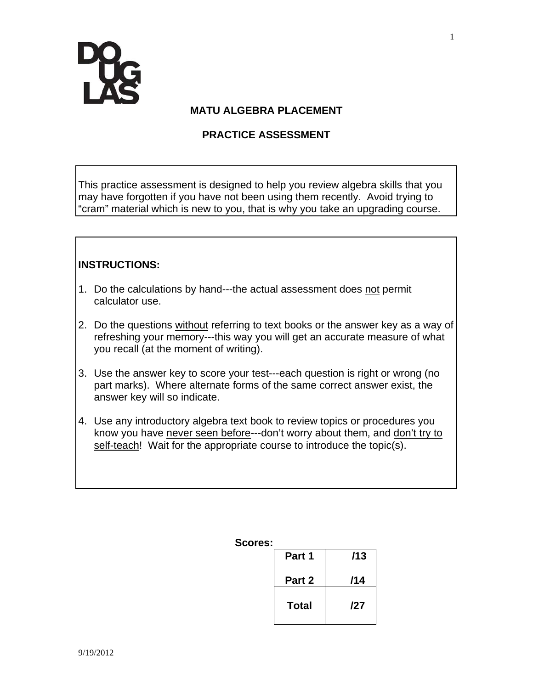

### **MATU ALGEBRA PLACEMENT**

## **PRACTICE ASSESSMENT**

This practice assessment is designed to help you review algebra skills that you may have forgotten if you have not been using them recently. Avoid trying to "cram" material which is new to you, that is why you take an upgrading course.

### **INSTRUCTIONS:**

- 1. Do the calculations by hand---the actual assessment does not permit calculator use.
- 2. Do the questions without referring to text books or the answer key as a way of refreshing your memory---this way you will get an accurate measure of what you recall (at the moment of writing).
- 3. Use the answer key to score your test---each question is right or wrong (no part marks). Where alternate forms of the same correct answer exist, the answer key will so indicate.
- 4. Use any introductory algebra text book to review topics or procedures you know you have never seen before---don't worry about them, and don't try to self-teach! Wait for the appropriate course to introduce the topic(s).

#### **Scores:**

| Part 1 | /13 |
|--------|-----|
| Part 2 | /14 |
| Total  | /27 |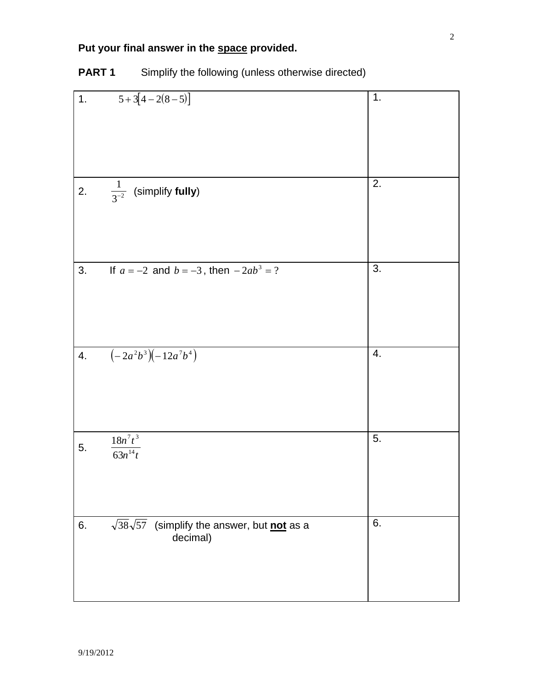# **Put your final answer in the space provided.**

| 1. | $5+3[4-2(8-5)]$                                         | 1. |
|----|---------------------------------------------------------|----|
|    |                                                         |    |
|    |                                                         |    |
|    |                                                         |    |
|    |                                                         |    |
|    |                                                         |    |
|    |                                                         |    |
|    |                                                         | 2. |
| 2. | $\frac{1}{3^{-2}}$ (simplify fully)                     |    |
|    |                                                         |    |
|    |                                                         |    |
|    |                                                         |    |
|    |                                                         |    |
|    |                                                         |    |
| 3. | If $a = -2$ and $b = -3$ , then $-2ab^3 = ?$            | 3. |
|    |                                                         |    |
|    |                                                         |    |
|    |                                                         |    |
|    |                                                         |    |
|    |                                                         |    |
| 4. | $\left(-2a^2b^3\right)\left(-12a^7b^4\right)$           | 4. |
|    |                                                         |    |
|    |                                                         |    |
|    |                                                         |    |
|    |                                                         |    |
|    |                                                         |    |
|    |                                                         |    |
|    | $\sqrt{18n^7t^3}$                                       | 5. |
| 5. | $\sqrt{63n^{14}t}$                                      |    |
|    |                                                         |    |
|    |                                                         |    |
|    |                                                         |    |
|    |                                                         |    |
|    |                                                         |    |
| 6. | $\sqrt{38}\sqrt{57}$ (simplify the answer, but not as a | 6. |
|    | decimal)                                                |    |
|    |                                                         |    |
|    |                                                         |    |
|    |                                                         |    |
|    |                                                         |    |

# **PART 1** Simplify the following (unless otherwise directed)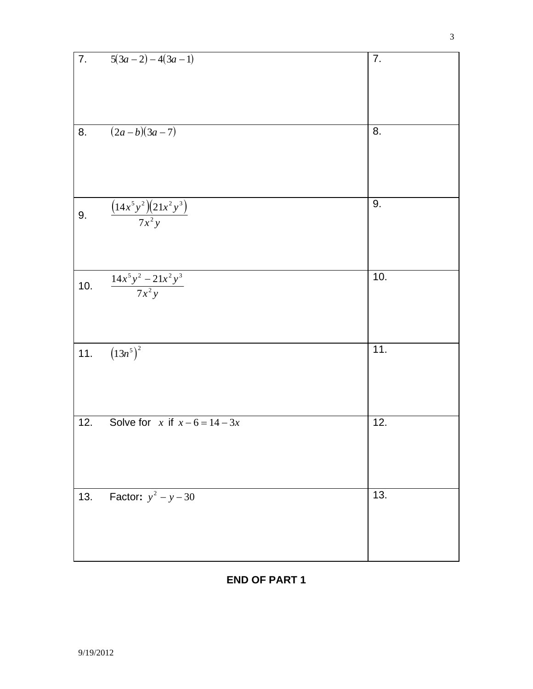| 7.  | $5(3a-2)-4(3a-1)$                    | 7.  |
|-----|--------------------------------------|-----|
| 8.  | $(2a-b)(3a-7)$                       | 8.  |
|     |                                      |     |
| 9.  | $\frac{(14x^5y^2)(21x^2y^3)}{7x^2y}$ | 9.  |
| 10. | $\frac{14x^5y^2 - 21x^2y^3}{7x^2y}$  | 10. |
| 11. | $(13n^5)^2$                          | 11. |
| 12. | Solve for x if $x-6=14-3x$           | 12. |
| 13. | <b>Factor:</b> $y^2 - y - 30$        | 13. |

## **END OF PART 1**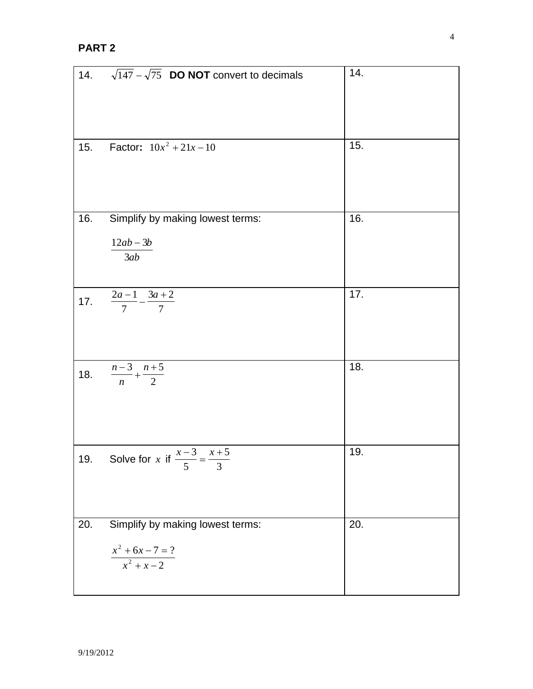| 14. | $\sqrt{147} - \sqrt{75}$ <b>DO NOT</b> convert to decimals                 | 14.               |
|-----|----------------------------------------------------------------------------|-------------------|
| 15. | <b>Factor:</b> $10x^2 + 21x - 10$                                          | 15.               |
| 16. | Simplify by making lowest terms:<br>$12ab - 3b$<br>3ab                     | 16.               |
| 17. | $\frac{2a-1}{7} - \frac{3a+2}{7}$                                          | $\overline{17}$ . |
| 18. | $\frac{n-3}{n} + \frac{n+5}{2}$                                            | 18.               |
| 19. | Solve for x if $\frac{x-3}{5} = \frac{x+5}{3}$                             | 19.               |
| 20. | Simplify by making lowest terms:<br>$\frac{x^2 + 6x - 7 = ?}{x^2 + x - 2}$ | $\overline{20}$ . |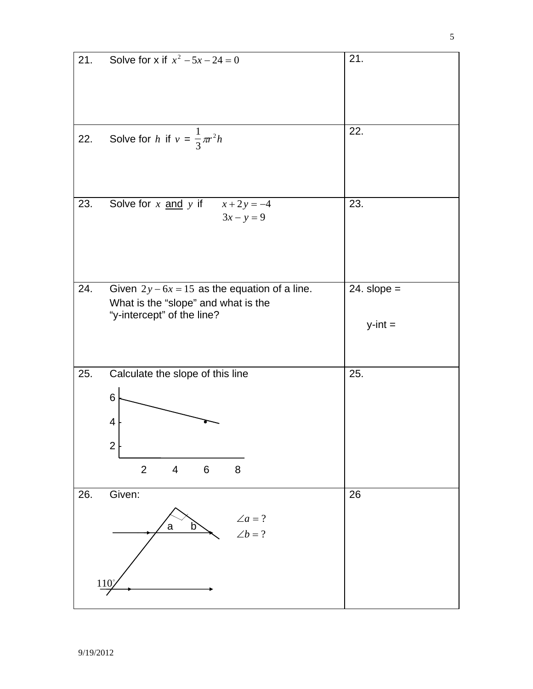| 21. | Solve for x if $x^2 - 5x - 24 = 0$                                                                                   | 21.                        |
|-----|----------------------------------------------------------------------------------------------------------------------|----------------------------|
|     |                                                                                                                      | 22.                        |
| 22. | Solve for h if $v = \frac{1}{3}\pi r^2 h$                                                                            |                            |
| 23. | Solve for $x$ and $y$ if<br>$x + 2y = -4$<br>$3x - y = 9$                                                            | 23.                        |
| 24. | Given $2y - 6x = 15$ as the equation of a line.<br>What is the "slope" and what is the<br>"y-intercept" of the line? | $24.$ slope =<br>$y-int =$ |
| 25. | Calculate the slope of this line<br>$\,6$<br>4<br>$\mathbf{2}$<br>$\overline{2}$<br>$\,6\,$<br>$\overline{4}$<br>8   | 25.                        |
| 26. | Given:<br>$\angle a=?$<br>a<br>b<br>$\angle b = ?$<br>110'                                                           | 26                         |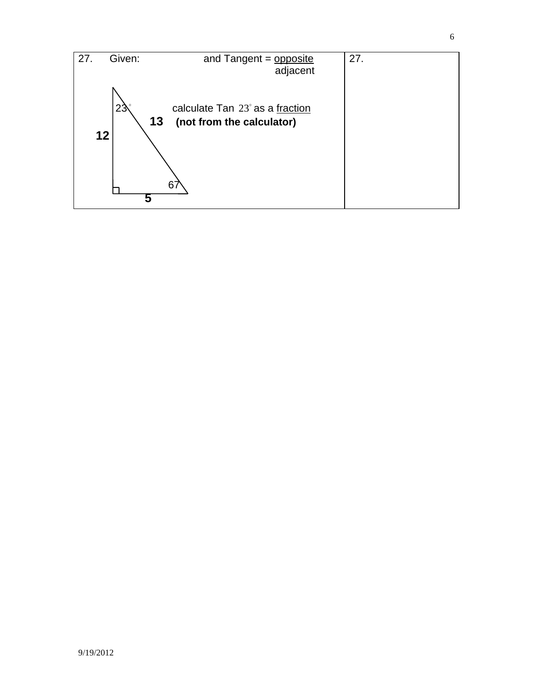